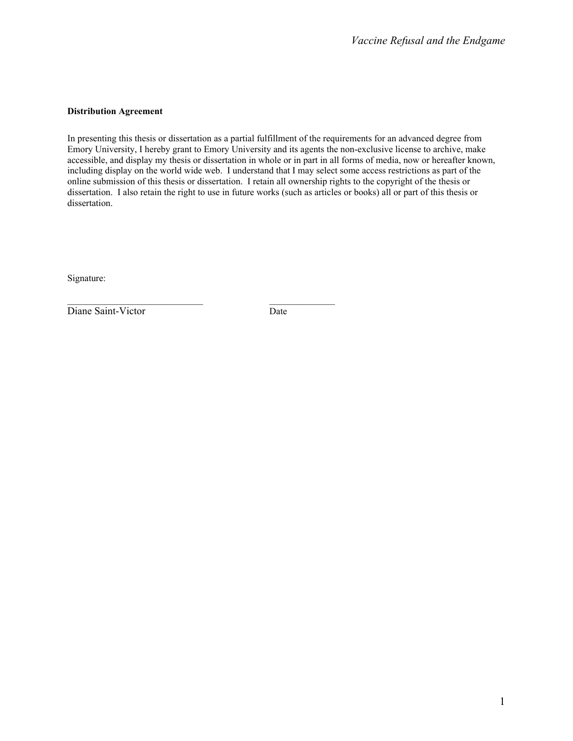#### **Distribution Agreement**

In presenting this thesis or dissertation as a partial fulfillment of the requirements for an advanced degree from Emory University, I hereby grant to Emory University and its agents the non-exclusive license to archive, make accessible, and display my thesis or dissertation in whole or in part in all forms of media, now or hereafter known, including display on the world wide web. I understand that I may select some access restrictions as part of the online submission of this thesis or dissertation. I retain all ownership rights to the copyright of the thesis or dissertation. I also retain the right to use in future works (such as articles or books) all or part of this thesis or dissertation.

Signature:

Diane Saint-Victor Date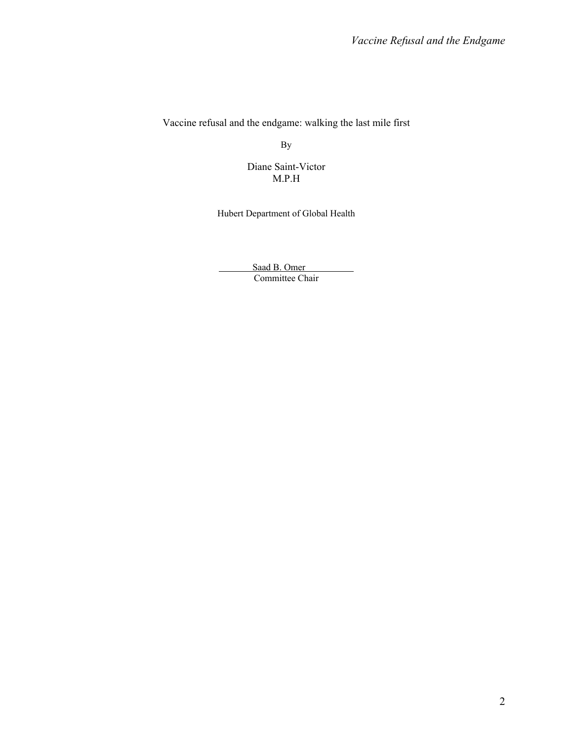Vaccine refusal and the endgame: walking the last mile first

By

Diane Saint-Victor M.P.H

Hubert Department of Global Health

Saad B. Omer Committee Chair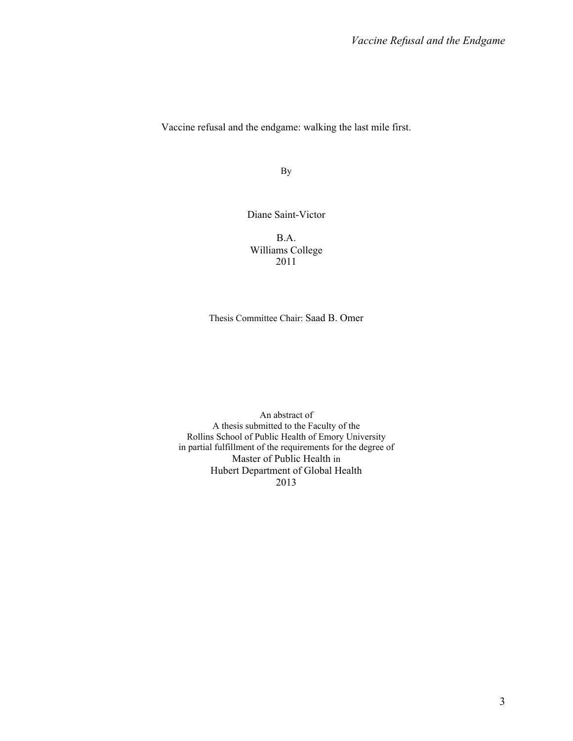Vaccine refusal and the endgame: walking the last mile first.

By

Diane Saint-Victor

B.A. Williams College 2011

Thesis Committee Chair: Saad B. Omer

An abstract of A thesis submitted to the Faculty of the Rollins School of Public Health of Emory University in partial fulfillment of the requirements for the degree of Master of Public Health in Hubert Department of Global Health 2013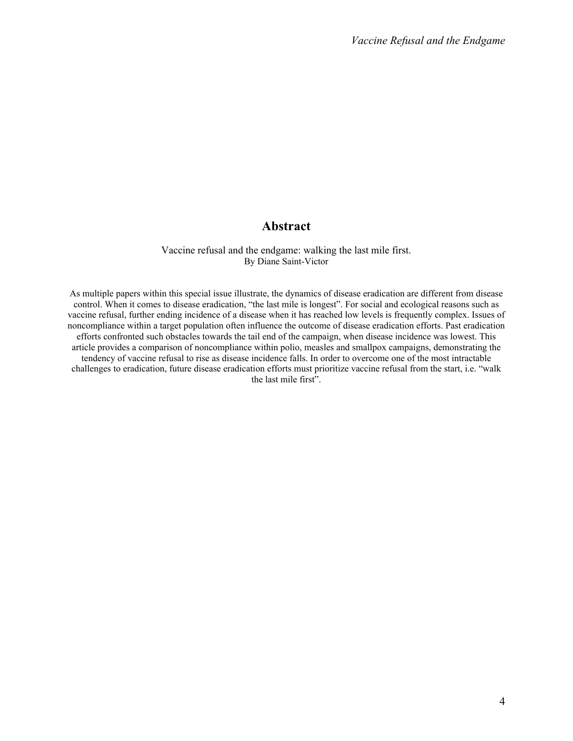# **Abstract**

### Vaccine refusal and the endgame: walking the last mile first. By Diane Saint-Victor

As multiple papers within this special issue illustrate, the dynamics of disease eradication are different from disease control. When it comes to disease eradication, "the last mile is longest". For social and ecological reasons such as vaccine refusal, further ending incidence of a disease when it has reached low levels is frequently complex. Issues of noncompliance within a target population often influence the outcome of disease eradication efforts. Past eradication efforts confronted such obstacles towards the tail end of the campaign, when disease incidence was lowest. This article provides a comparison of noncompliance within polio, measles and smallpox campaigns, demonstrating the tendency of vaccine refusal to rise as disease incidence falls. In order to overcome one of the most intractable challenges to eradication, future disease eradication efforts must prioritize vaccine refusal from the start, i.e. "walk the last mile first".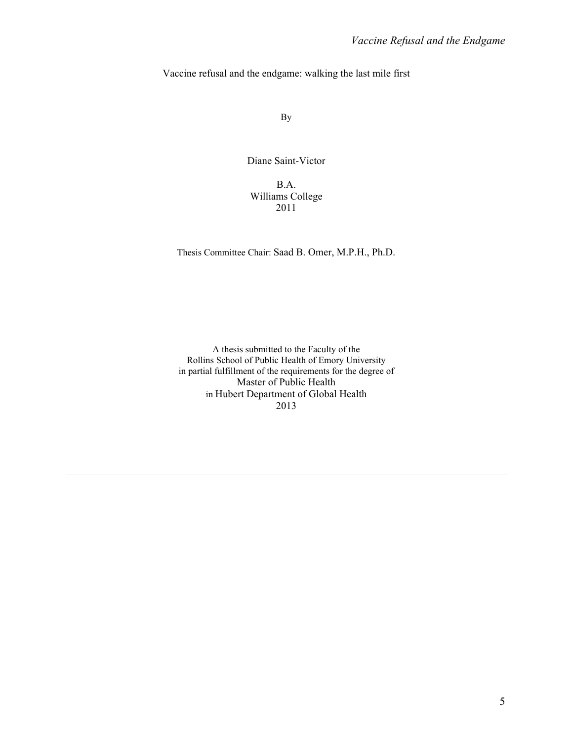Vaccine refusal and the endgame: walking the last mile first

By

Diane Saint-Victor

B.A. Williams College 2011

Thesis Committee Chair: Saad B. Omer, M.P.H., Ph.D.

A thesis submitted to the Faculty of the Rollins School of Public Health of Emory University in partial fulfillment of the requirements for the degree of Master of Public Health in Hubert Department of Global Health 2013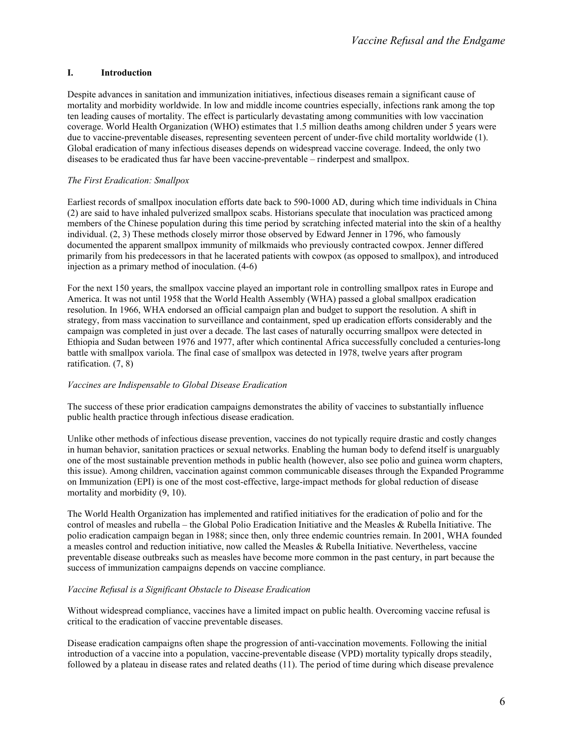## **I. Introduction**

Despite advances in sanitation and immunization initiatives, infectious diseases remain a significant cause of mortality and morbidity worldwide. In low and middle income countries especially, infections rank among the top ten leading causes of mortality. The effect is particularly devastating among communities with low vaccination coverage. World Health Organization (WHO) estimates that 1.5 million deaths among children under 5 years were due to vaccine-preventable diseases, representing seventeen percent of under-five child mortality worldwide (1). Global eradication of many infectious diseases depends on widespread vaccine coverage. Indeed, the only two diseases to be eradicated thus far have been vaccine-preventable – rinderpest and smallpox.

## *The First Eradication: Smallpox*

Earliest records of smallpox inoculation efforts date back to 590-1000 AD, during which time individuals in China (2) are said to have inhaled pulverized smallpox scabs. Historians speculate that inoculation was practiced among members of the Chinese population during this time period by scratching infected material into the skin of a healthy individual. (2, 3) These methods closely mirror those observed by Edward Jenner in 1796, who famously documented the apparent smallpox immunity of milkmaids who previously contracted cowpox. Jenner differed primarily from his predecessors in that he lacerated patients with cowpox (as opposed to smallpox), and introduced injection as a primary method of inoculation. (4-6)

For the next 150 years, the smallpox vaccine played an important role in controlling smallpox rates in Europe and America. It was not until 1958 that the World Health Assembly (WHA) passed a global smallpox eradication resolution. In 1966, WHA endorsed an official campaign plan and budget to support the resolution. A shift in strategy, from mass vaccination to surveillance and containment, sped up eradication efforts considerably and the campaign was completed in just over a decade. The last cases of naturally occurring smallpox were detected in Ethiopia and Sudan between 1976 and 1977, after which continental Africa successfully concluded a centuries-long battle with smallpox variola. The final case of smallpox was detected in 1978, twelve years after program ratification. (7, 8)

### *Vaccines are Indispensable to Global Disease Eradication*

The success of these prior eradication campaigns demonstrates the ability of vaccines to substantially influence public health practice through infectious disease eradication.

Unlike other methods of infectious disease prevention, vaccines do not typically require drastic and costly changes in human behavior, sanitation practices or sexual networks. Enabling the human body to defend itself is unarguably one of the most sustainable prevention methods in public health (however, also see polio and guinea worm chapters, this issue). Among children, vaccination against common communicable diseases through the Expanded Programme on Immunization (EPI) is one of the most cost-effective, large-impact methods for global reduction of disease mortality and morbidity (9, 10).

The World Health Organization has implemented and ratified initiatives for the eradication of polio and for the control of measles and rubella – the Global Polio Eradication Initiative and the Measles & Rubella Initiative. The polio eradication campaign began in 1988; since then, only three endemic countries remain. In 2001, WHA founded a measles control and reduction initiative, now called the Measles & Rubella Initiative. Nevertheless, vaccine preventable disease outbreaks such as measles have become more common in the past century, in part because the success of immunization campaigns depends on vaccine compliance.

## *Vaccine Refusal is a Significant Obstacle to Disease Eradication*

Without widespread compliance, vaccines have a limited impact on public health. Overcoming vaccine refusal is critical to the eradication of vaccine preventable diseases.

Disease eradication campaigns often shape the progression of anti-vaccination movements. Following the initial introduction of a vaccine into a population, vaccine-preventable disease (VPD) mortality typically drops steadily, followed by a plateau in disease rates and related deaths (11). The period of time during which disease prevalence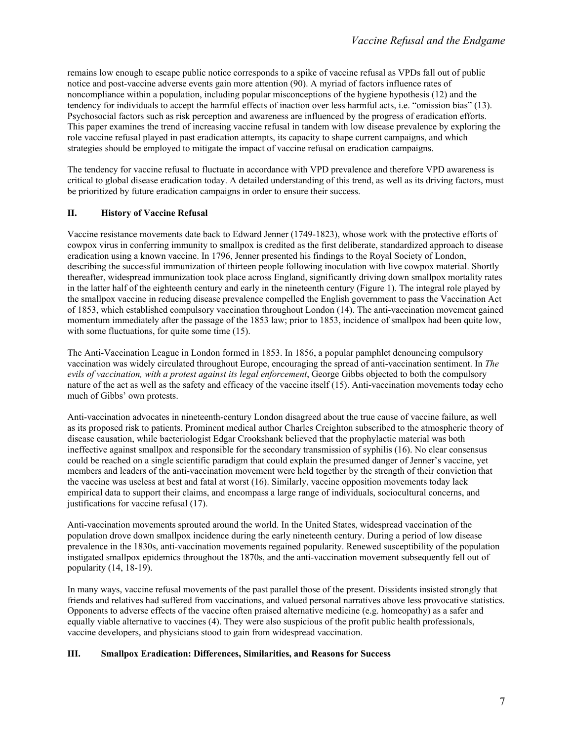remains low enough to escape public notice corresponds to a spike of vaccine refusal as VPDs fall out of public notice and post-vaccine adverse events gain more attention (90). A myriad of factors influence rates of noncompliance within a population, including popular misconceptions of the hygiene hypothesis (12) and the tendency for individuals to accept the harmful effects of inaction over less harmful acts, i.e. "omission bias" (13). Psychosocial factors such as risk perception and awareness are influenced by the progress of eradication efforts. This paper examines the trend of increasing vaccine refusal in tandem with low disease prevalence by exploring the role vaccine refusal played in past eradication attempts, its capacity to shape current campaigns, and which strategies should be employed to mitigate the impact of vaccine refusal on eradication campaigns.

The tendency for vaccine refusal to fluctuate in accordance with VPD prevalence and therefore VPD awareness is critical to global disease eradication today. A detailed understanding of this trend, as well as its driving factors, must be prioritized by future eradication campaigns in order to ensure their success.

## **II. History of Vaccine Refusal**

Vaccine resistance movements date back to Edward Jenner (1749-1823), whose work with the protective efforts of cowpox virus in conferring immunity to smallpox is credited as the first deliberate, standardized approach to disease eradication using a known vaccine. In 1796, Jenner presented his findings to the Royal Society of London, describing the successful immunization of thirteen people following inoculation with live cowpox material. Shortly thereafter, widespread immunization took place across England, significantly driving down smallpox mortality rates in the latter half of the eighteenth century and early in the nineteenth century (Figure 1). The integral role played by the smallpox vaccine in reducing disease prevalence compelled the English government to pass the Vaccination Act of 1853, which established compulsory vaccination throughout London (14). The anti-vaccination movement gained momentum immediately after the passage of the 1853 law; prior to 1853, incidence of smallpox had been quite low, with some fluctuations, for quite some time (15).

The Anti-Vaccination League in London formed in 1853. In 1856, a popular pamphlet denouncing compulsory vaccination was widely circulated throughout Europe, encouraging the spread of anti-vaccination sentiment. In *The evils of vaccination, with a protest against its legal enforcement*, George Gibbs objected to both the compulsory nature of the act as well as the safety and efficacy of the vaccine itself (15). Anti-vaccination movements today echo much of Gibbs' own protests.

Anti-vaccination advocates in nineteenth-century London disagreed about the true cause of vaccine failure, as well as its proposed risk to patients. Prominent medical author Charles Creighton subscribed to the atmospheric theory of disease causation, while bacteriologist Edgar Crookshank believed that the prophylactic material was both ineffective against smallpox and responsible for the secondary transmission of syphilis (16). No clear consensus could be reached on a single scientific paradigm that could explain the presumed danger of Jenner's vaccine, yet members and leaders of the anti-vaccination movement were held together by the strength of their conviction that the vaccine was useless at best and fatal at worst (16). Similarly, vaccine opposition movements today lack empirical data to support their claims, and encompass a large range of individuals, sociocultural concerns, and justifications for vaccine refusal (17).

Anti-vaccination movements sprouted around the world. In the United States, widespread vaccination of the population drove down smallpox incidence during the early nineteenth century. During a period of low disease prevalence in the 1830s, anti-vaccination movements regained popularity. Renewed susceptibility of the population instigated smallpox epidemics throughout the 1870s, and the anti-vaccination movement subsequently fell out of popularity (14, 18-19).

In many ways, vaccine refusal movements of the past parallel those of the present. Dissidents insisted strongly that friends and relatives had suffered from vaccinations, and valued personal narratives above less provocative statistics. Opponents to adverse effects of the vaccine often praised alternative medicine (e.g. homeopathy) as a safer and equally viable alternative to vaccines (4). They were also suspicious of the profit public health professionals, vaccine developers, and physicians stood to gain from widespread vaccination.

### **III. Smallpox Eradication: Differences, Similarities, and Reasons for Success**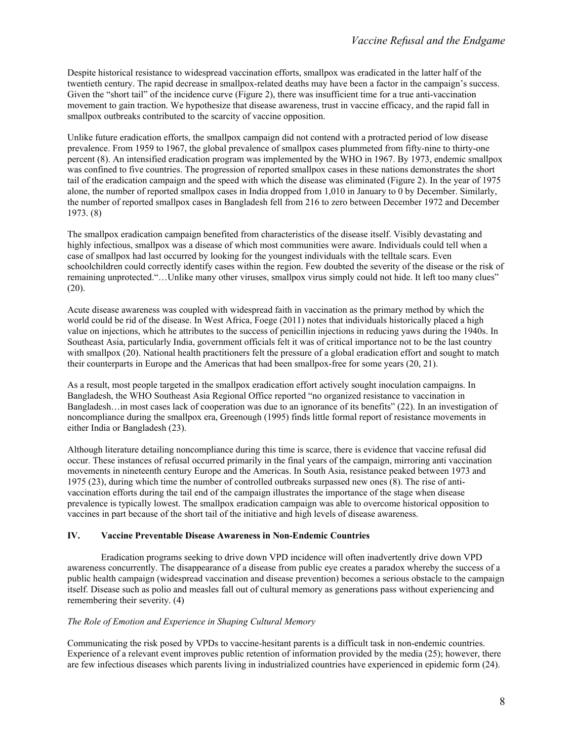Despite historical resistance to widespread vaccination efforts, smallpox was eradicated in the latter half of the twentieth century. The rapid decrease in smallpox-related deaths may have been a factor in the campaign's success. Given the "short tail" of the incidence curve (Figure 2), there was insufficient time for a true anti-vaccination movement to gain traction. We hypothesize that disease awareness, trust in vaccine efficacy, and the rapid fall in smallpox outbreaks contributed to the scarcity of vaccine opposition.

Unlike future eradication efforts, the smallpox campaign did not contend with a protracted period of low disease prevalence. From 1959 to 1967, the global prevalence of smallpox cases plummeted from fifty-nine to thirty-one percent (8). An intensified eradication program was implemented by the WHO in 1967. By 1973, endemic smallpox was confined to five countries. The progression of reported smallpox cases in these nations demonstrates the short tail of the eradication campaign and the speed with which the disease was eliminated (Figure 2). In the year of 1975 alone, the number of reported smallpox cases in India dropped from 1,010 in January to 0 by December. Similarly, the number of reported smallpox cases in Bangladesh fell from 216 to zero between December 1972 and December 1973. (8)

The smallpox eradication campaign benefited from characteristics of the disease itself. Visibly devastating and highly infectious, smallpox was a disease of which most communities were aware. Individuals could tell when a case of smallpox had last occurred by looking for the youngest individuals with the telltale scars. Even schoolchildren could correctly identify cases within the region. Few doubted the severity of the disease or the risk of remaining unprotected."…Unlike many other viruses, smallpox virus simply could not hide. It left too many clues"  $(20)$ .

Acute disease awareness was coupled with widespread faith in vaccination as the primary method by which the world could be rid of the disease. In West Africa, Foege (2011) notes that individuals historically placed a high value on injections, which he attributes to the success of penicillin injections in reducing yaws during the 1940s. In Southeast Asia, particularly India, government officials felt it was of critical importance not to be the last country with smallpox (20). National health practitioners felt the pressure of a global eradication effort and sought to match their counterparts in Europe and the Americas that had been smallpox-free for some years (20, 21).

As a result, most people targeted in the smallpox eradication effort actively sought inoculation campaigns. In Bangladesh, the WHO Southeast Asia Regional Office reported "no organized resistance to vaccination in Bangladesh…in most cases lack of cooperation was due to an ignorance of its benefits" (22). In an investigation of noncompliance during the smallpox era, Greenough (1995) finds little formal report of resistance movements in either India or Bangladesh (23).

Although literature detailing noncompliance during this time is scarce, there is evidence that vaccine refusal did occur. These instances of refusal occurred primarily in the final years of the campaign, mirroring anti vaccination movements in nineteenth century Europe and the Americas. In South Asia, resistance peaked between 1973 and 1975 (23), during which time the number of controlled outbreaks surpassed new ones (8). The rise of antivaccination efforts during the tail end of the campaign illustrates the importance of the stage when disease prevalence is typically lowest. The smallpox eradication campaign was able to overcome historical opposition to vaccines in part because of the short tail of the initiative and high levels of disease awareness.

#### **IV. Vaccine Preventable Disease Awareness in Non-Endemic Countries**

Eradication programs seeking to drive down VPD incidence will often inadvertently drive down VPD awareness concurrently. The disappearance of a disease from public eye creates a paradox whereby the success of a public health campaign (widespread vaccination and disease prevention) becomes a serious obstacle to the campaign itself. Disease such as polio and measles fall out of cultural memory as generations pass without experiencing and remembering their severity. (4)

#### *The Role of Emotion and Experience in Shaping Cultural Memory*

Communicating the risk posed by VPDs to vaccine-hesitant parents is a difficult task in non-endemic countries. Experience of a relevant event improves public retention of information provided by the media (25); however, there are few infectious diseases which parents living in industrialized countries have experienced in epidemic form (24).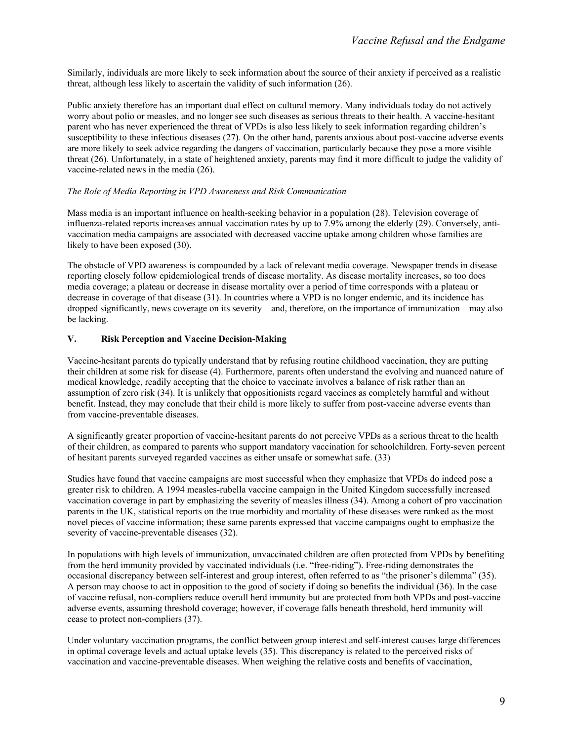Similarly, individuals are more likely to seek information about the source of their anxiety if perceived as a realistic threat, although less likely to ascertain the validity of such information (26).

Public anxiety therefore has an important dual effect on cultural memory. Many individuals today do not actively worry about polio or measles, and no longer see such diseases as serious threats to their health. A vaccine-hesitant parent who has never experienced the threat of VPDs is also less likely to seek information regarding children's susceptibility to these infectious diseases (27). On the other hand, parents anxious about post-vaccine adverse events are more likely to seek advice regarding the dangers of vaccination, particularly because they pose a more visible threat (26). Unfortunately, in a state of heightened anxiety, parents may find it more difficult to judge the validity of vaccine-related news in the media (26).

### *The Role of Media Reporting in VPD Awareness and Risk Communication*

Mass media is an important influence on health-seeking behavior in a population (28). Television coverage of influenza-related reports increases annual vaccination rates by up to 7.9% among the elderly (29). Conversely, antivaccination media campaigns are associated with decreased vaccine uptake among children whose families are likely to have been exposed (30).

The obstacle of VPD awareness is compounded by a lack of relevant media coverage. Newspaper trends in disease reporting closely follow epidemiological trends of disease mortality. As disease mortality increases, so too does media coverage; a plateau or decrease in disease mortality over a period of time corresponds with a plateau or decrease in coverage of that disease (31). In countries where a VPD is no longer endemic, and its incidence has dropped significantly, news coverage on its severity – and, therefore, on the importance of immunization – may also be lacking.

# **V. Risk Perception and Vaccine Decision-Making**

Vaccine-hesitant parents do typically understand that by refusing routine childhood vaccination, they are putting their children at some risk for disease (4). Furthermore, parents often understand the evolving and nuanced nature of medical knowledge, readily accepting that the choice to vaccinate involves a balance of risk rather than an assumption of zero risk (34). It is unlikely that oppositionists regard vaccines as completely harmful and without benefit. Instead, they may conclude that their child is more likely to suffer from post-vaccine adverse events than from vaccine-preventable diseases.

A significantly greater proportion of vaccine-hesitant parents do not perceive VPDs as a serious threat to the health of their children, as compared to parents who support mandatory vaccination for schoolchildren. Forty-seven percent of hesitant parents surveyed regarded vaccines as either unsafe or somewhat safe. (33)

Studies have found that vaccine campaigns are most successful when they emphasize that VPDs do indeed pose a greater risk to children. A 1994 measles-rubella vaccine campaign in the United Kingdom successfully increased vaccination coverage in part by emphasizing the severity of measles illness (34). Among a cohort of pro vaccination parents in the UK, statistical reports on the true morbidity and mortality of these diseases were ranked as the most novel pieces of vaccine information; these same parents expressed that vaccine campaigns ought to emphasize the severity of vaccine-preventable diseases (32).

In populations with high levels of immunization, unvaccinated children are often protected from VPDs by benefiting from the herd immunity provided by vaccinated individuals (i.e. "free-riding"). Free-riding demonstrates the occasional discrepancy between self-interest and group interest, often referred to as "the prisoner's dilemma" (35). A person may choose to act in opposition to the good of society if doing so benefits the individual (36). In the case of vaccine refusal, non-compliers reduce overall herd immunity but are protected from both VPDs and post-vaccine adverse events, assuming threshold coverage; however, if coverage falls beneath threshold, herd immunity will cease to protect non-compliers (37).

Under voluntary vaccination programs, the conflict between group interest and self-interest causes large differences in optimal coverage levels and actual uptake levels (35). This discrepancy is related to the perceived risks of vaccination and vaccine-preventable diseases. When weighing the relative costs and benefits of vaccination,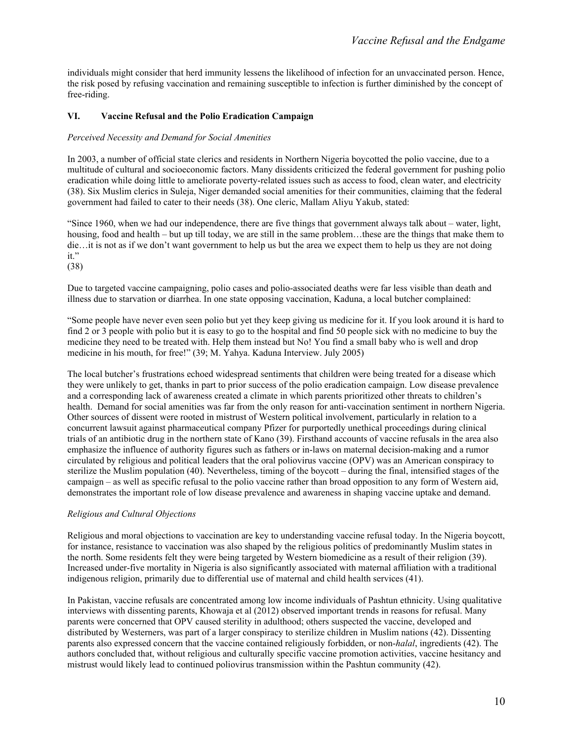individuals might consider that herd immunity lessens the likelihood of infection for an unvaccinated person. Hence, the risk posed by refusing vaccination and remaining susceptible to infection is further diminished by the concept of free-riding.

## **VI. Vaccine Refusal and the Polio Eradication Campaign**

#### *Perceived Necessity and Demand for Social Amenities*

In 2003, a number of official state clerics and residents in Northern Nigeria boycotted the polio vaccine, due to a multitude of cultural and socioeconomic factors. Many dissidents criticized the federal government for pushing polio eradication while doing little to ameliorate poverty-related issues such as access to food, clean water, and electricity (38). Six Muslim clerics in Suleja, Niger demanded social amenities for their communities, claiming that the federal government had failed to cater to their needs (38). One cleric, Mallam Aliyu Yakub, stated:

"Since 1960, when we had our independence, there are five things that government always talk about – water, light, housing, food and health – but up till today, we are still in the same problem...these are the things that make them to die…it is not as if we don't want government to help us but the area we expect them to help us they are not doing it."

(38)

Due to targeted vaccine campaigning, polio cases and polio-associated deaths were far less visible than death and illness due to starvation or diarrhea. In one state opposing vaccination, Kaduna, a local butcher complained:

"Some people have never even seen polio but yet they keep giving us medicine for it. If you look around it is hard to find 2 or 3 people with polio but it is easy to go to the hospital and find 50 people sick with no medicine to buy the medicine they need to be treated with. Help them instead but No! You find a small baby who is well and drop medicine in his mouth, for free!" (39; M. Yahya. Kaduna Interview. July 2005)

The local butcher's frustrations echoed widespread sentiments that children were being treated for a disease which they were unlikely to get, thanks in part to prior success of the polio eradication campaign. Low disease prevalence and a corresponding lack of awareness created a climate in which parents prioritized other threats to children's health. Demand for social amenities was far from the only reason for anti-vaccination sentiment in northern Nigeria. Other sources of dissent were rooted in mistrust of Western political involvement, particularly in relation to a concurrent lawsuit against pharmaceutical company Pfizer for purportedly unethical proceedings during clinical trials of an antibiotic drug in the northern state of Kano (39). Firsthand accounts of vaccine refusals in the area also emphasize the influence of authority figures such as fathers or in-laws on maternal decision-making and a rumor circulated by religious and political leaders that the oral poliovirus vaccine (OPV) was an American conspiracy to sterilize the Muslim population (40). Nevertheless, timing of the boycott – during the final, intensified stages of the campaign – as well as specific refusal to the polio vaccine rather than broad opposition to any form of Western aid, demonstrates the important role of low disease prevalence and awareness in shaping vaccine uptake and demand.

### *Religious and Cultural Objections*

Religious and moral objections to vaccination are key to understanding vaccine refusal today. In the Nigeria boycott, for instance, resistance to vaccination was also shaped by the religious politics of predominantly Muslim states in the north. Some residents felt they were being targeted by Western biomedicine as a result of their religion (39). Increased under-five mortality in Nigeria is also significantly associated with maternal affiliation with a traditional indigenous religion, primarily due to differential use of maternal and child health services (41).

In Pakistan, vaccine refusals are concentrated among low income individuals of Pashtun ethnicity. Using qualitative interviews with dissenting parents, Khowaja et al (2012) observed important trends in reasons for refusal. Many parents were concerned that OPV caused sterility in adulthood; others suspected the vaccine, developed and distributed by Westerners, was part of a larger conspiracy to sterilize children in Muslim nations (42). Dissenting parents also expressed concern that the vaccine contained religiously forbidden, or non-*halal*, ingredients (42). The authors concluded that, without religious and culturally specific vaccine promotion activities, vaccine hesitancy and mistrust would likely lead to continued poliovirus transmission within the Pashtun community (42).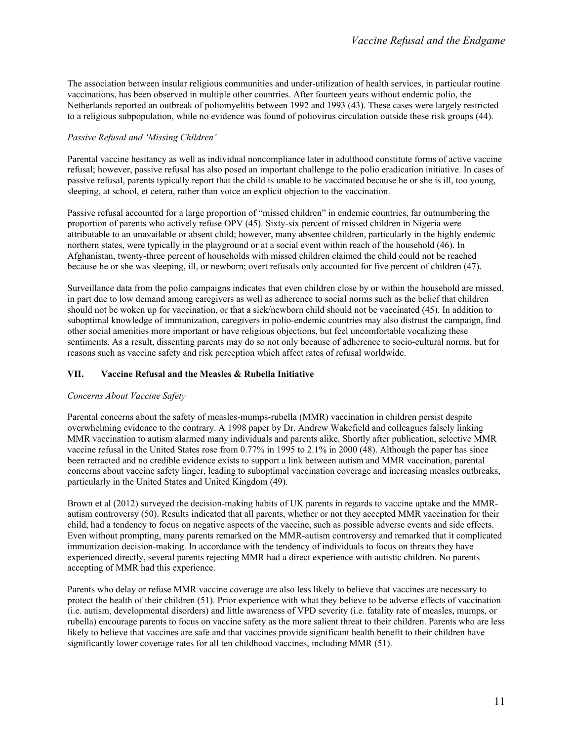The association between insular religious communities and under-utilization of health services, in particular routine vaccinations, has been observed in multiple other countries. After fourteen years without endemic polio, the Netherlands reported an outbreak of poliomyelitis between 1992 and 1993 (43). These cases were largely restricted to a religious subpopulation, while no evidence was found of poliovirus circulation outside these risk groups (44).

## *Passive Refusal and 'Missing Children'*

Parental vaccine hesitancy as well as individual noncompliance later in adulthood constitute forms of active vaccine refusal; however, passive refusal has also posed an important challenge to the polio eradication initiative. In cases of passive refusal, parents typically report that the child is unable to be vaccinated because he or she is ill, too young, sleeping, at school, et cetera, rather than voice an explicit objection to the vaccination.

Passive refusal accounted for a large proportion of "missed children" in endemic countries, far outnumbering the proportion of parents who actively refuse OPV (45). Sixty-six percent of missed children in Nigeria were attributable to an unavailable or absent child; however, many absentee children, particularly in the highly endemic northern states, were typically in the playground or at a social event within reach of the household (46). In Afghanistan, twenty-three percent of households with missed children claimed the child could not be reached because he or she was sleeping, ill, or newborn; overt refusals only accounted for five percent of children (47).

Surveillance data from the polio campaigns indicates that even children close by or within the household are missed, in part due to low demand among caregivers as well as adherence to social norms such as the belief that children should not be woken up for vaccination, or that a sick/newborn child should not be vaccinated (45). In addition to suboptimal knowledge of immunization, caregivers in polio-endemic countries may also distrust the campaign, find other social amenities more important or have religious objections, but feel uncomfortable vocalizing these sentiments. As a result, dissenting parents may do so not only because of adherence to socio-cultural norms, but for reasons such as vaccine safety and risk perception which affect rates of refusal worldwide.

### **VII. Vaccine Refusal and the Measles & Rubella Initiative**

### *Concerns About Vaccine Safety*

Parental concerns about the safety of measles-mumps-rubella (MMR) vaccination in children persist despite overwhelming evidence to the contrary. A 1998 paper by Dr. Andrew Wakefield and colleagues falsely linking MMR vaccination to autism alarmed many individuals and parents alike. Shortly after publication, selective MMR vaccine refusal in the United States rose from 0.77% in 1995 to 2.1% in 2000 (48). Although the paper has since been retracted and no credible evidence exists to support a link between autism and MMR vaccination, parental concerns about vaccine safety linger, leading to suboptimal vaccination coverage and increasing measles outbreaks, particularly in the United States and United Kingdom (49).

Brown et al (2012) surveyed the decision-making habits of UK parents in regards to vaccine uptake and the MMRautism controversy (50). Results indicated that all parents, whether or not they accepted MMR vaccination for their child, had a tendency to focus on negative aspects of the vaccine, such as possible adverse events and side effects. Even without prompting, many parents remarked on the MMR-autism controversy and remarked that it complicated immunization decision-making. In accordance with the tendency of individuals to focus on threats they have experienced directly, several parents rejecting MMR had a direct experience with autistic children. No parents accepting of MMR had this experience.

Parents who delay or refuse MMR vaccine coverage are also less likely to believe that vaccines are necessary to protect the health of their children (51). Prior experience with what they believe to be adverse effects of vaccination (i.e. autism, developmental disorders) and little awareness of VPD severity (i.e. fatality rate of measles, mumps, or rubella) encourage parents to focus on vaccine safety as the more salient threat to their children. Parents who are less likely to believe that vaccines are safe and that vaccines provide significant health benefit to their children have significantly lower coverage rates for all ten childhood vaccines, including MMR (51).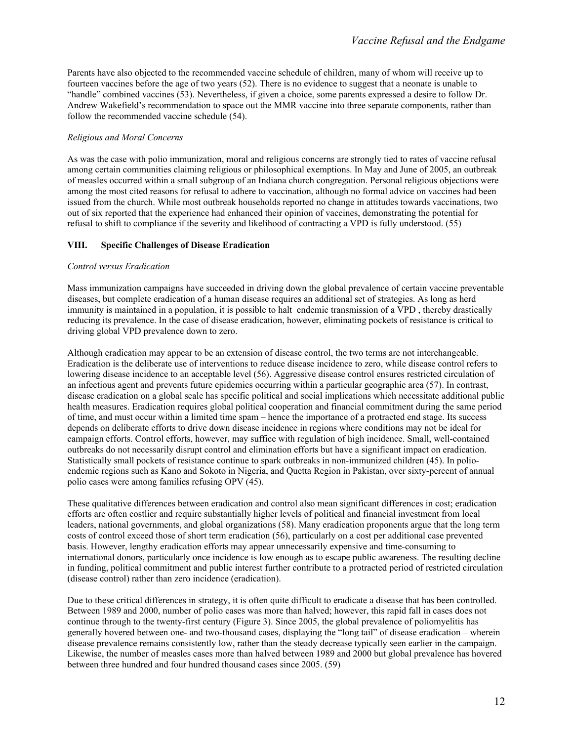Parents have also objected to the recommended vaccine schedule of children, many of whom will receive up to fourteen vaccines before the age of two years (52). There is no evidence to suggest that a neonate is unable to "handle" combined vaccines (53). Nevertheless, if given a choice, some parents expressed a desire to follow Dr. Andrew Wakefield's recommendation to space out the MMR vaccine into three separate components, rather than follow the recommended vaccine schedule (54).

#### *Religious and Moral Concerns*

As was the case with polio immunization, moral and religious concerns are strongly tied to rates of vaccine refusal among certain communities claiming religious or philosophical exemptions. In May and June of 2005, an outbreak of measles occurred within a small subgroup of an Indiana church congregation. Personal religious objections were among the most cited reasons for refusal to adhere to vaccination, although no formal advice on vaccines had been issued from the church. While most outbreak households reported no change in attitudes towards vaccinations, two out of six reported that the experience had enhanced their opinion of vaccines, demonstrating the potential for refusal to shift to compliance if the severity and likelihood of contracting a VPD is fully understood. (55)

#### **VIII. Specific Challenges of Disease Eradication**

#### *Control versus Eradication*

Mass immunization campaigns have succeeded in driving down the global prevalence of certain vaccine preventable diseases, but complete eradication of a human disease requires an additional set of strategies. As long as herd immunity is maintained in a population, it is possible to halt endemic transmission of a VPD , thereby drastically reducing its prevalence. In the case of disease eradication, however, eliminating pockets of resistance is critical to driving global VPD prevalence down to zero.

Although eradication may appear to be an extension of disease control, the two terms are not interchangeable. Eradication is the deliberate use of interventions to reduce disease incidence to zero, while disease control refers to lowering disease incidence to an acceptable level (56). Aggressive disease control ensures restricted circulation of an infectious agent and prevents future epidemics occurring within a particular geographic area (57). In contrast, disease eradication on a global scale has specific political and social implications which necessitate additional public health measures. Eradication requires global political cooperation and financial commitment during the same period of time, and must occur within a limited time spam – hence the importance of a protracted end stage. Its success depends on deliberate efforts to drive down disease incidence in regions where conditions may not be ideal for campaign efforts. Control efforts, however, may suffice with regulation of high incidence. Small, well-contained outbreaks do not necessarily disrupt control and elimination efforts but have a significant impact on eradication. Statistically small pockets of resistance continue to spark outbreaks in non-immunized children (45). In polioendemic regions such as Kano and Sokoto in Nigeria, and Quetta Region in Pakistan, over sixty-percent of annual polio cases were among families refusing OPV (45).

These qualitative differences between eradication and control also mean significant differences in cost; eradication efforts are often costlier and require substantially higher levels of political and financial investment from local leaders, national governments, and global organizations (58). Many eradication proponents argue that the long term costs of control exceed those of short term eradication (56), particularly on a cost per additional case prevented basis. However, lengthy eradication efforts may appear unnecessarily expensive and time-consuming to international donors, particularly once incidence is low enough as to escape public awareness. The resulting decline in funding, political commitment and public interest further contribute to a protracted period of restricted circulation (disease control) rather than zero incidence (eradication).

Due to these critical differences in strategy, it is often quite difficult to eradicate a disease that has been controlled. Between 1989 and 2000, number of polio cases was more than halved; however, this rapid fall in cases does not continue through to the twenty-first century (Figure 3). Since 2005, the global prevalence of poliomyelitis has generally hovered between one- and two-thousand cases, displaying the "long tail" of disease eradication – wherein disease prevalence remains consistently low, rather than the steady decrease typically seen earlier in the campaign. Likewise, the number of measles cases more than halved between 1989 and 2000 but global prevalence has hovered between three hundred and four hundred thousand cases since 2005. (59)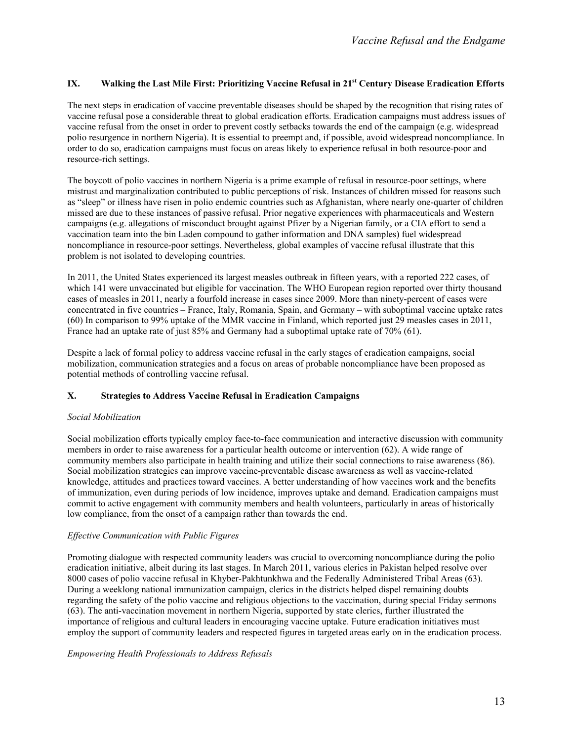## IX. **Walking the Last Mile First: Prioritizing Vaccine Refusal in 21<sup>st</sup> Century Disease Eradication Efforts**

The next steps in eradication of vaccine preventable diseases should be shaped by the recognition that rising rates of vaccine refusal pose a considerable threat to global eradication efforts. Eradication campaigns must address issues of vaccine refusal from the onset in order to prevent costly setbacks towards the end of the campaign (e.g. widespread polio resurgence in northern Nigeria). It is essential to preempt and, if possible, avoid widespread noncompliance. In order to do so, eradication campaigns must focus on areas likely to experience refusal in both resource-poor and resource-rich settings.

The boycott of polio vaccines in northern Nigeria is a prime example of refusal in resource-poor settings, where mistrust and marginalization contributed to public perceptions of risk. Instances of children missed for reasons such as "sleep" or illness have risen in polio endemic countries such as Afghanistan, where nearly one-quarter of children missed are due to these instances of passive refusal. Prior negative experiences with pharmaceuticals and Western campaigns (e.g. allegations of misconduct brought against Pfizer by a Nigerian family, or a CIA effort to send a vaccination team into the bin Laden compound to gather information and DNA samples) fuel widespread noncompliance in resource-poor settings. Nevertheless, global examples of vaccine refusal illustrate that this problem is not isolated to developing countries.

In 2011, the United States experienced its largest measles outbreak in fifteen years, with a reported 222 cases, of which 141 were unvaccinated but eligible for vaccination. The WHO European region reported over thirty thousand cases of measles in 2011, nearly a fourfold increase in cases since 2009. More than ninety-percent of cases were concentrated in five countries – France, Italy, Romania, Spain, and Germany – with suboptimal vaccine uptake rates (60) In comparison to 99% uptake of the MMR vaccine in Finland, which reported just 29 measles cases in 2011, France had an uptake rate of just 85% and Germany had a suboptimal uptake rate of 70% (61).

Despite a lack of formal policy to address vaccine refusal in the early stages of eradication campaigns, social mobilization, communication strategies and a focus on areas of probable noncompliance have been proposed as potential methods of controlling vaccine refusal.

### **X. Strategies to Address Vaccine Refusal in Eradication Campaigns**

### *Social Mobilization*

Social mobilization efforts typically employ face-to-face communication and interactive discussion with community members in order to raise awareness for a particular health outcome or intervention (62). A wide range of community members also participate in health training and utilize their social connections to raise awareness (86). Social mobilization strategies can improve vaccine-preventable disease awareness as well as vaccine-related knowledge, attitudes and practices toward vaccines. A better understanding of how vaccines work and the benefits of immunization, even during periods of low incidence, improves uptake and demand. Eradication campaigns must commit to active engagement with community members and health volunteers, particularly in areas of historically low compliance, from the onset of a campaign rather than towards the end.

### *Effective Communication with Public Figures*

Promoting dialogue with respected community leaders was crucial to overcoming noncompliance during the polio eradication initiative, albeit during its last stages. In March 2011, various clerics in Pakistan helped resolve over 8000 cases of polio vaccine refusal in Khyber-Pakhtunkhwa and the Federally Administered Tribal Areas (63). During a weeklong national immunization campaign, clerics in the districts helped dispel remaining doubts regarding the safety of the polio vaccine and religious objections to the vaccination, during special Friday sermons (63). The anti-vaccination movement in northern Nigeria, supported by state clerics, further illustrated the importance of religious and cultural leaders in encouraging vaccine uptake. Future eradication initiatives must employ the support of community leaders and respected figures in targeted areas early on in the eradication process.

#### *Empowering Health Professionals to Address Refusals*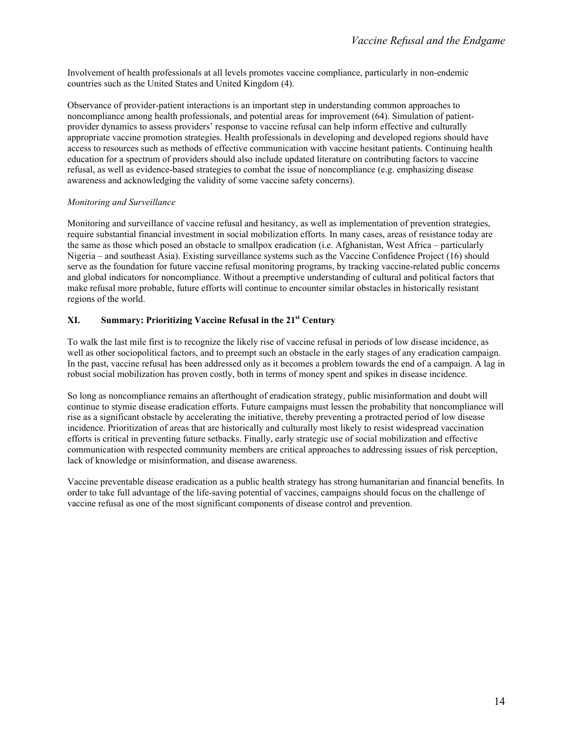Involvement of health professionals at all levels promotes vaccine compliance, particularly in non-endemic countries such as the United States and United Kingdom (4).

Observance of provider-patient interactions is an important step in understanding common approaches to noncompliance among health professionals, and potential areas for improvement (64). Simulation of patientprovider dynamics to assess providers' response to vaccine refusal can help inform effective and culturally appropriate vaccine promotion strategies. Health professionals in developing and developed regions should have access to resources such as methods of effective communication with vaccine hesitant patients. Continuing health education for a spectrum of providers should also include updated literature on contributing factors to vaccine refusal, as well as evidence-based strategies to combat the issue of noncompliance (e.g. emphasizing disease awareness and acknowledging the validity of some vaccine safety concerns).

### *Monitoring and Surveillance*

Monitoring and surveillance of vaccine refusal and hesitancy, as well as implementation of prevention strategies, require substantial financial investment in social mobilization efforts. In many cases, areas of resistance today are the same as those which posed an obstacle to smallpox eradication (i.e. Afghanistan, West Africa – particularly Nigeria – and southeast Asia). Existing surveillance systems such as the Vaccine Confidence Project (16) should serve as the foundation for future vaccine refusal monitoring programs, by tracking vaccine-related public concerns and global indicators for noncompliance. Without a preemptive understanding of cultural and political factors that make refusal more probable, future efforts will continue to encounter similar obstacles in historically resistant regions of the world.

# **XI. Summary: Prioritizing Vaccine Refusal in the 21st Century**

To walk the last mile first is to recognize the likely rise of vaccine refusal in periods of low disease incidence, as well as other sociopolitical factors, and to preempt such an obstacle in the early stages of any eradication campaign. In the past, vaccine refusal has been addressed only as it becomes a problem towards the end of a campaign. A lag in robust social mobilization has proven costly, both in terms of money spent and spikes in disease incidence.

So long as noncompliance remains an afterthought of eradication strategy, public misinformation and doubt will continue to stymie disease eradication efforts. Future campaigns must lessen the probability that noncompliance will rise as a significant obstacle by accelerating the initiative, thereby preventing a protracted period of low disease incidence. Prioritization of areas that are historically and culturally most likely to resist widespread vaccination efforts is critical in preventing future setbacks. Finally, early strategic use of social mobilization and effective communication with respected community members are critical approaches to addressing issues of risk perception, lack of knowledge or misinformation, and disease awareness.

Vaccine preventable disease eradication as a public health strategy has strong humanitarian and financial benefits. In order to take full advantage of the life-saving potential of vaccines, campaigns should focus on the challenge of vaccine refusal as one of the most significant components of disease control and prevention.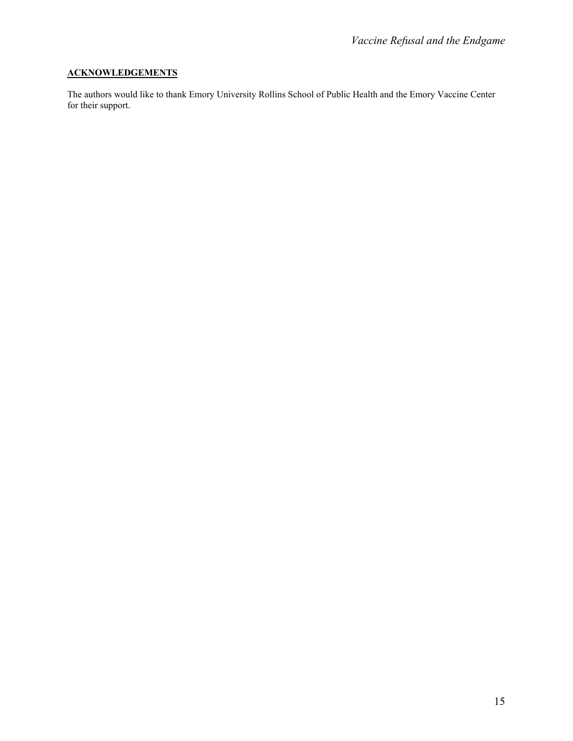# **ACKNOWLEDGEMENTS**

The authors would like to thank Emory University Rollins School of Public Health and the Emory Vaccine Center for their support.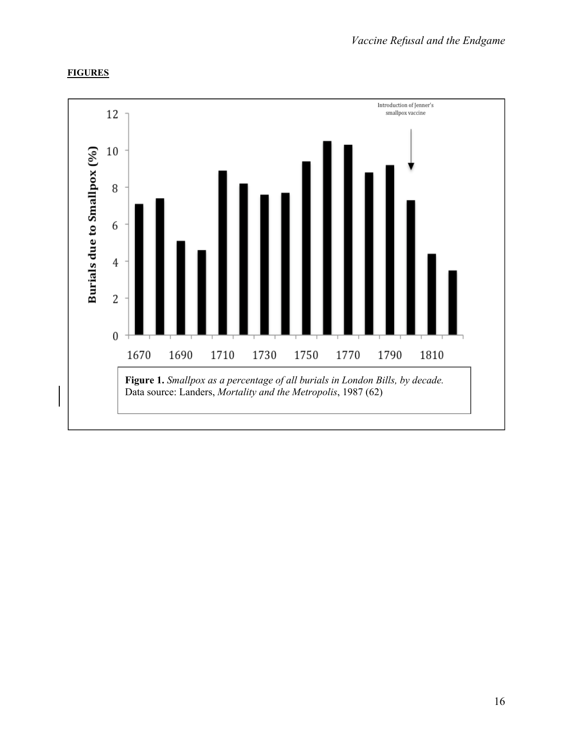# **FIGURES**

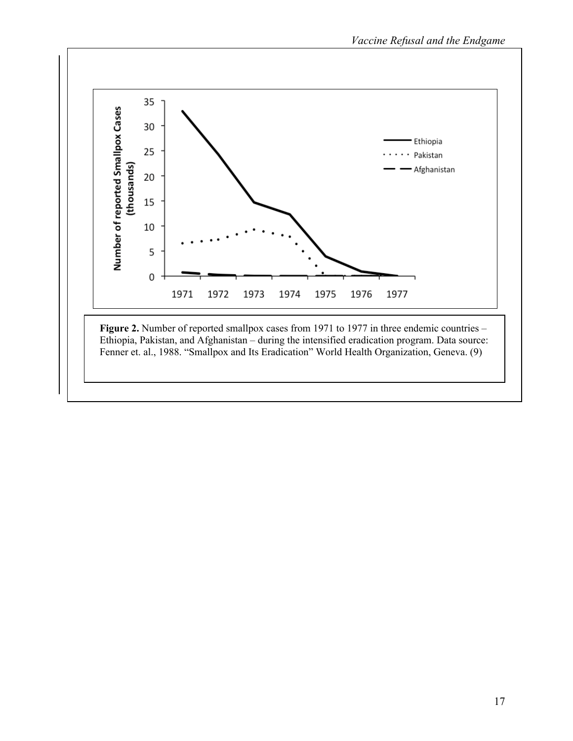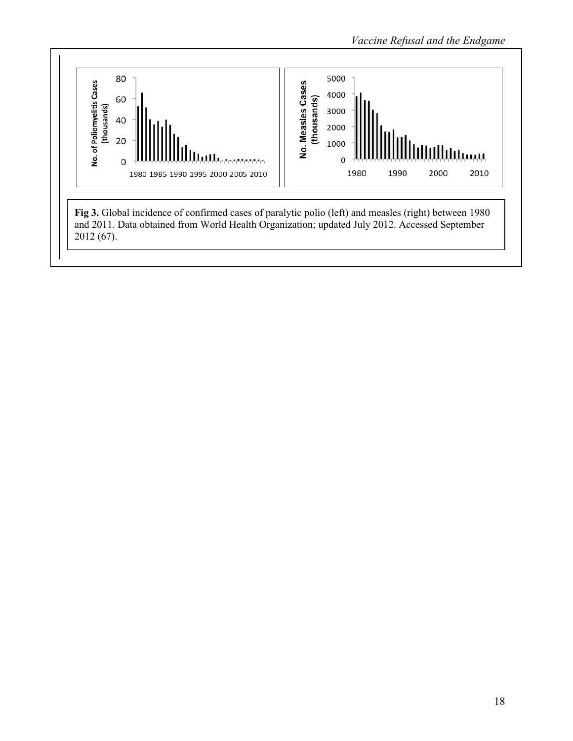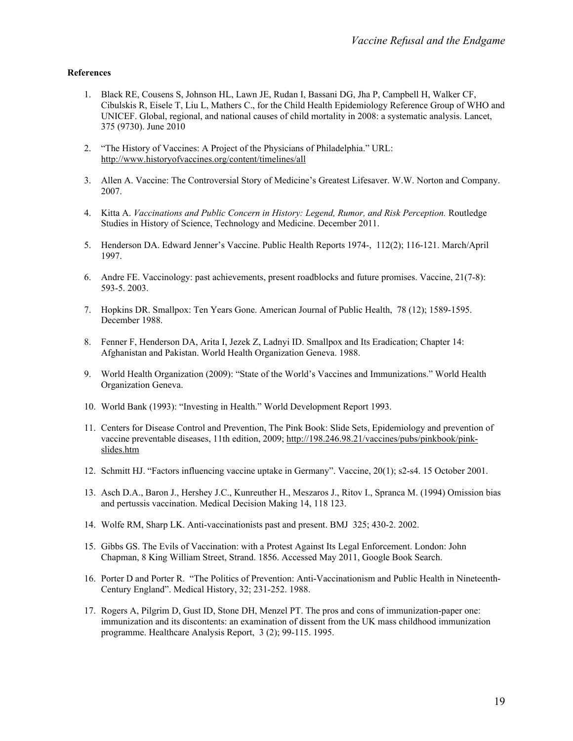#### **References**

- 1. Black RE, Cousens S, Johnson HL, Lawn JE, Rudan I, Bassani DG, Jha P, Campbell H, Walker CF, Cibulskis R, Eisele T, Liu L, Mathers C., for the Child Health Epidemiology Reference Group of WHO and UNICEF. Global, regional, and national causes of child mortality in 2008: a systematic analysis. Lancet, 375 (9730). June 2010
- 2. "The History of Vaccines: A Project of the Physicians of Philadelphia." URL: http://www.historyofvaccines.org/content/timelines/all
- 3. Allen A. Vaccine: The Controversial Story of Medicine's Greatest Lifesaver. W.W. Norton and Company. 2007.
- 4. Kitta A. *Vaccinations and Public Concern in History: Legend, Rumor, and Risk Perception.* Routledge Studies in History of Science, Technology and Medicine. December 2011.
- 5. Henderson DA. Edward Jenner's Vaccine. Public Health Reports 1974-, 112(2); 116-121. March/April 1997.
- 6. Andre FE. Vaccinology: past achievements, present roadblocks and future promises. Vaccine, 21(7-8): 593-5. 2003.
- 7. Hopkins DR. Smallpox: Ten Years Gone. American Journal of Public Health, 78 (12); 1589-1595. December 1988.
- 8. Fenner F, Henderson DA, Arita I, Jezek Z, Ladnyi ID. Smallpox and Its Eradication; Chapter 14: Afghanistan and Pakistan. World Health Organization Geneva. 1988.
- 9. World Health Organization (2009): "State of the World's Vaccines and Immunizations." World Health Organization Geneva.
- 10. World Bank (1993): "Investing in Health." World Development Report 1993.
- 11. Centers for Disease Control and Prevention, The Pink Book: Slide Sets, Epidemiology and prevention of vaccine preventable diseases, 11th edition, 2009; http://198.246.98.21/vaccines/pubs/pinkbook/pinkslides.htm
- 12. Schmitt HJ. "Factors influencing vaccine uptake in Germany". Vaccine, 20(1); s2-s4. 15 October 2001.
- 13. Asch D.A., Baron J., Hershey J.C., Kunreuther H., Meszaros J., Ritov I., Spranca M. (1994) Omission bias and pertussis vaccination. Medical Decision Making 14, 118 123.
- 14. Wolfe RM, Sharp LK. Anti-vaccinationists past and present. BMJ 325; 430-2. 2002.
- 15. Gibbs GS. The Evils of Vaccination: with a Protest Against Its Legal Enforcement. London: John Chapman, 8 King William Street, Strand. 1856. Accessed May 2011, Google Book Search.
- 16. Porter D and Porter R. "The Politics of Prevention: Anti-Vaccinationism and Public Health in Nineteenth-Century England". Medical History, 32; 231-252. 1988.
- 17. Rogers A, Pilgrim D, Gust ID, Stone DH, Menzel PT. The pros and cons of immunization-paper one: immunization and its discontents: an examination of dissent from the UK mass childhood immunization programme. Healthcare Analysis Report, 3 (2); 99-115. 1995.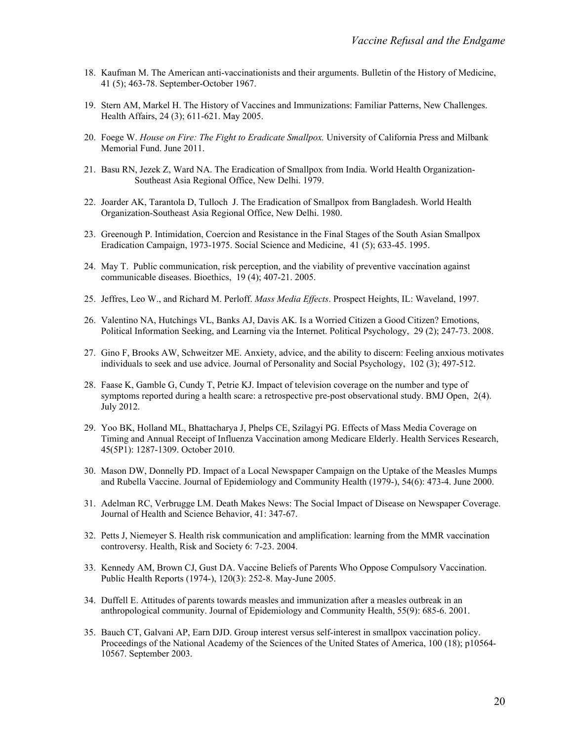- 18. Kaufman M. The American anti-vaccinationists and their arguments. Bulletin of the History of Medicine, 41 (5); 463-78. September-October 1967.
- 19. Stern AM, Markel H. The History of Vaccines and Immunizations: Familiar Patterns, New Challenges. Health Affairs, 24 (3); 611-621. May 2005.
- 20. Foege W. *House on Fire: The Fight to Eradicate Smallpox.* University of California Press and Milbank Memorial Fund. June 2011.
- 21. Basu RN, Jezek Z, Ward NA. The Eradication of Smallpox from India. World Health Organization-Southeast Asia Regional Office, New Delhi. 1979.
- 22. Joarder AK, Tarantola D, Tulloch J. The Eradication of Smallpox from Bangladesh. World Health Organization-Southeast Asia Regional Office, New Delhi. 1980.
- 23. Greenough P. Intimidation, Coercion and Resistance in the Final Stages of the South Asian Smallpox Eradication Campaign, 1973-1975. Social Science and Medicine, 41 (5); 633-45. 1995.
- 24. May T. Public communication, risk perception, and the viability of preventive vaccination against communicable diseases. Bioethics, 19 (4); 407-21. 2005.
- 25. Jeffres, Leo W., and Richard M. Perloff. *Mass Media Effects*. Prospect Heights, IL: Waveland, 1997.
- 26. Valentino NA, Hutchings VL, Banks AJ, Davis AK. Is a Worried Citizen a Good Citizen? Emotions, Political Information Seeking, and Learning via the Internet. Political Psychology, 29 (2); 247-73. 2008.
- 27. Gino F, Brooks AW, Schweitzer ME. Anxiety, advice, and the ability to discern: Feeling anxious motivates individuals to seek and use advice. Journal of Personality and Social Psychology, 102 (3); 497-512.
- 28. Faase K, Gamble G, Cundy T, Petrie KJ. Impact of television coverage on the number and type of symptoms reported during a health scare: a retrospective pre-post observational study. BMJ Open, 2(4). July 2012.
- 29. Yoo BK, Holland ML, Bhattacharya J, Phelps CE, Szilagyi PG. Effects of Mass Media Coverage on Timing and Annual Receipt of Influenza Vaccination among Medicare Elderly. Health Services Research, 45(5P1): 1287-1309. October 2010.
- 30. Mason DW, Donnelly PD. Impact of a Local Newspaper Campaign on the Uptake of the Measles Mumps and Rubella Vaccine. Journal of Epidemiology and Community Health (1979-), 54(6): 473-4. June 2000.
- 31. Adelman RC, Verbrugge LM. Death Makes News: The Social Impact of Disease on Newspaper Coverage. Journal of Health and Science Behavior, 41: 347-67.
- 32. Petts J, Niemeyer S. Health risk communication and amplification: learning from the MMR vaccination controversy. Health, Risk and Society 6: 7-23. 2004.
- 33. Kennedy AM, Brown CJ, Gust DA. Vaccine Beliefs of Parents Who Oppose Compulsory Vaccination. Public Health Reports (1974-), 120(3): 252-8. May-June 2005.
- 34. Duffell E. Attitudes of parents towards measles and immunization after a measles outbreak in an anthropological community. Journal of Epidemiology and Community Health, 55(9): 685-6. 2001.
- 35. Bauch CT, Galvani AP, Earn DJD. Group interest versus self-interest in smallpox vaccination policy. Proceedings of the National Academy of the Sciences of the United States of America, 100 (18); p10564- 10567. September 2003.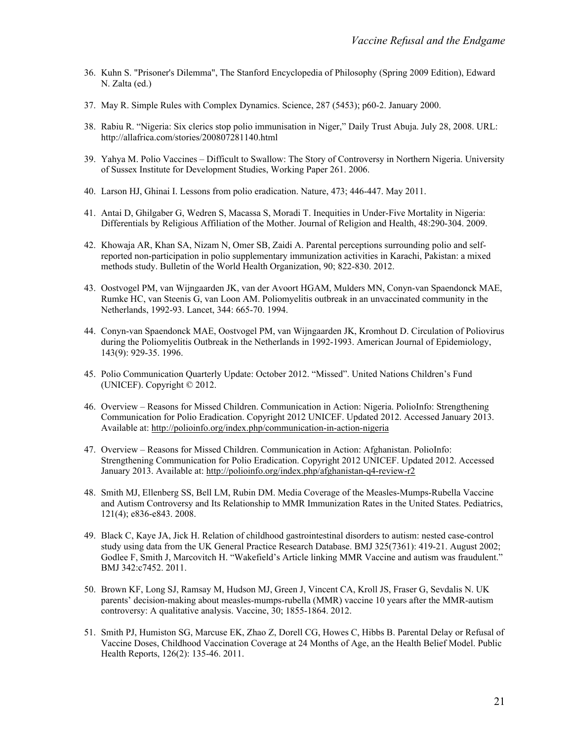- 36. Kuhn S. "Prisoner's Dilemma", The Stanford Encyclopedia of Philosophy (Spring 2009 Edition), Edward N. Zalta (ed.)
- 37. May R. Simple Rules with Complex Dynamics. Science, 287 (5453); p60-2. January 2000.
- 38. Rabiu R. "Nigeria: Six clerics stop polio immunisation in Niger," Daily Trust Abuja. July 28, 2008. URL: http://allafrica.com/stories/200807281140.html
- 39. Yahya M. Polio Vaccines Difficult to Swallow: The Story of Controversy in Northern Nigeria. University of Sussex Institute for Development Studies, Working Paper 261. 2006.
- 40. Larson HJ, Ghinai I. Lessons from polio eradication. Nature, 473; 446-447. May 2011.
- 41. Antai D, Ghilgaber G, Wedren S, Macassa S, Moradi T. Inequities in Under-Five Mortality in Nigeria: Differentials by Religious Affiliation of the Mother. Journal of Religion and Health, 48:290-304. 2009.
- 42. Khowaja AR, Khan SA, Nizam N, Omer SB, Zaidi A. Parental perceptions surrounding polio and selfreported non-participation in polio supplementary immunization activities in Karachi, Pakistan: a mixed methods study. Bulletin of the World Health Organization, 90; 822-830. 2012.
- 43. Oostvogel PM, van Wijngaarden JK, van der Avoort HGAM, Mulders MN, Conyn-van Spaendonck MAE, Rumke HC, van Steenis G, van Loon AM. Poliomyelitis outbreak in an unvaccinated community in the Netherlands, 1992-93. Lancet, 344: 665-70. 1994.
- 44. Conyn-van Spaendonck MAE, Oostvogel PM, van Wijngaarden JK, Kromhout D. Circulation of Poliovirus during the Poliomyelitis Outbreak in the Netherlands in 1992-1993. American Journal of Epidemiology, 143(9): 929-35. 1996.
- 45. Polio Communication Quarterly Update: October 2012. "Missed". United Nations Children's Fund (UNICEF). Copyright © 2012.
- 46. Overview Reasons for Missed Children. Communication in Action: Nigeria. PolioInfo: Strengthening Communication for Polio Eradication. Copyright 2012 UNICEF. Updated 2012. Accessed January 2013. Available at: http://polioinfo.org/index.php/communication-in-action-nigeria
- 47. Overview Reasons for Missed Children. Communication in Action: Afghanistan. PolioInfo: Strengthening Communication for Polio Eradication. Copyright 2012 UNICEF. Updated 2012. Accessed January 2013. Available at: http://polioinfo.org/index.php/afghanistan-q4-review-r2
- 48. Smith MJ, Ellenberg SS, Bell LM, Rubin DM. Media Coverage of the Measles-Mumps-Rubella Vaccine and Autism Controversy and Its Relationship to MMR Immunization Rates in the United States. Pediatrics, 121(4); e836-e843. 2008.
- 49. Black C, Kaye JA, Jick H. Relation of childhood gastrointestinal disorders to autism: nested case-control study using data from the UK General Practice Research Database. BMJ 325(7361): 419-21. August 2002; Godlee F, Smith J, Marcovitch H. "Wakefield's Article linking MMR Vaccine and autism was fraudulent." BMJ 342:c7452. 2011.
- 50. Brown KF, Long SJ, Ramsay M, Hudson MJ, Green J, Vincent CA, Kroll JS, Fraser G, Sevdalis N. UK parents' decision-making about measles-mumps-rubella (MMR) vaccine 10 years after the MMR-autism controversy: A qualitative analysis. Vaccine, 30; 1855-1864. 2012.
- 51. Smith PJ, Humiston SG, Marcuse EK, Zhao Z, Dorell CG, Howes C, Hibbs B. Parental Delay or Refusal of Vaccine Doses, Childhood Vaccination Coverage at 24 Months of Age, an the Health Belief Model. Public Health Reports, 126(2): 135-46. 2011.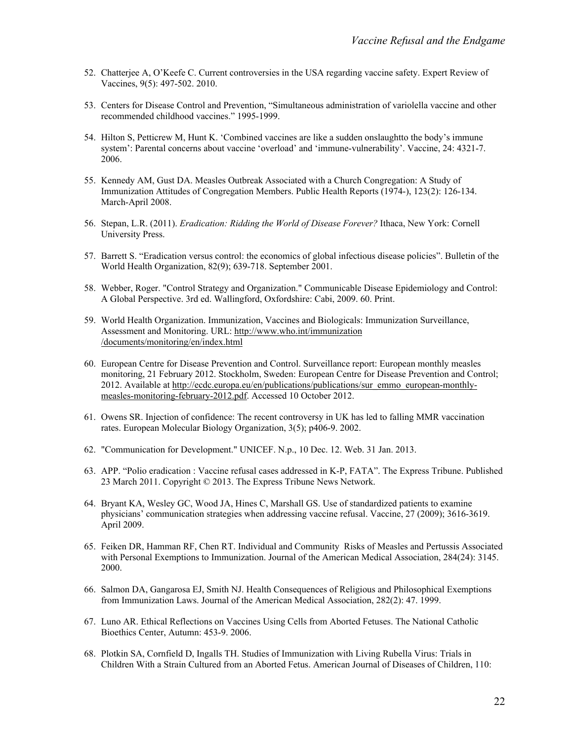- 52. Chatterjee A, O'Keefe C. Current controversies in the USA regarding vaccine safety. Expert Review of Vaccines, 9(5): 497-502. 2010.
- 53. Centers for Disease Control and Prevention, "Simultaneous administration of variolella vaccine and other recommended childhood vaccines." 1995-1999.
- 54. Hilton S, Petticrew M, Hunt K. 'Combined vaccines are like a sudden onslaughtto the body's immune system': Parental concerns about vaccine 'overload' and 'immune-vulnerability'. Vaccine, 24: 4321-7. 2006.
- 55. Kennedy AM, Gust DA. Measles Outbreak Associated with a Church Congregation: A Study of Immunization Attitudes of Congregation Members. Public Health Reports (1974-), 123(2): 126-134. March-April 2008.
- 56. Stepan, L.R. (2011). *Eradication: Ridding the World of Disease Forever?* Ithaca, New York: Cornell University Press.
- 57. Barrett S. "Eradication versus control: the economics of global infectious disease policies". Bulletin of the World Health Organization, 82(9); 639-718. September 2001.
- 58. Webber, Roger. "Control Strategy and Organization." Communicable Disease Epidemiology and Control: A Global Perspective. 3rd ed. Wallingford, Oxfordshire: Cabi, 2009. 60. Print.
- 59. World Health Organization. Immunization, Vaccines and Biologicals: Immunization Surveillance, Assessment and Monitoring. URL: http://www.who.int/immunization /documents/monitoring/en/index.html
- 60. European Centre for Disease Prevention and Control. Surveillance report: European monthly measles monitoring, 21 February 2012. Stockholm, Sweden: European Centre for Disease Prevention and Control; 2012. Available at http://ecdc.europa.eu/en/publications/publications/sur\_emmo\_european-monthlymeasles-monitoring-february-2012.pdf. Accessed 10 October 2012.
- 61. Owens SR. Injection of confidence: The recent controversy in UK has led to falling MMR vaccination rates. European Molecular Biology Organization, 3(5); p406-9. 2002.
- 62. "Communication for Development." UNICEF. N.p., 10 Dec. 12. Web. 31 Jan. 2013.
- 63. APP. "Polio eradication : Vaccine refusal cases addressed in K-P, FATA". The Express Tribune. Published 23 March 2011. Copyright © 2013. The Express Tribune News Network.
- 64. Bryant KA, Wesley GC, Wood JA, Hines C, Marshall GS. Use of standardized patients to examine physicians' communication strategies when addressing vaccine refusal. Vaccine, 27 (2009); 3616-3619. April 2009.
- 65. Feiken DR, Hamman RF, Chen RT. Individual and Community Risks of Measles and Pertussis Associated with Personal Exemptions to Immunization. Journal of the American Medical Association, 284(24): 3145. 2000.
- 66. Salmon DA, Gangarosa EJ, Smith NJ. Health Consequences of Religious and Philosophical Exemptions from Immunization Laws. Journal of the American Medical Association, 282(2): 47. 1999.
- 67. Luno AR. Ethical Reflections on Vaccines Using Cells from Aborted Fetuses. The National Catholic Bioethics Center, Autumn: 453-9. 2006.
- 68. Plotkin SA, Cornfield D, Ingalls TH. Studies of Immunization with Living Rubella Virus: Trials in Children With a Strain Cultured from an Aborted Fetus. American Journal of Diseases of Children, 110: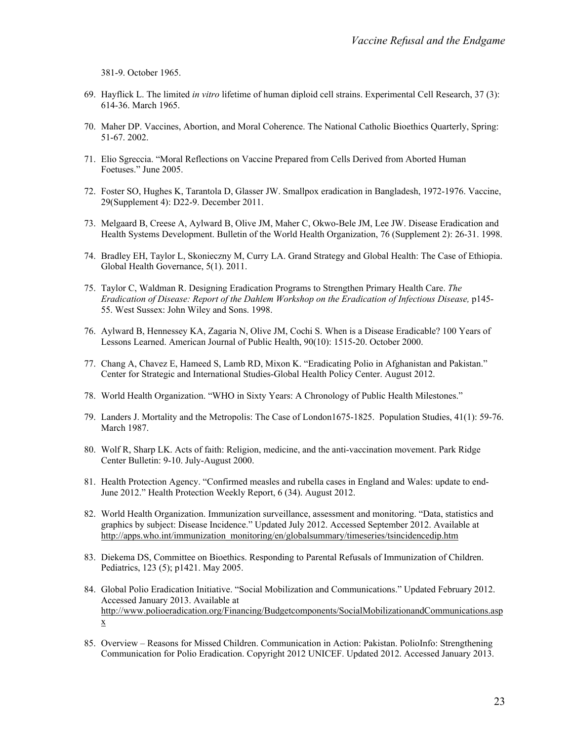381-9. October 1965.

- 69. Hayflick L. The limited *in vitro* lifetime of human diploid cell strains. Experimental Cell Research, 37 (3): 614-36. March 1965.
- 70. Maher DP. Vaccines, Abortion, and Moral Coherence. The National Catholic Bioethics Quarterly, Spring: 51-67. 2002.
- 71. Elio Sgreccia. "Moral Reflections on Vaccine Prepared from Cells Derived from Aborted Human Foetuses." June 2005.
- 72. Foster SO, Hughes K, Tarantola D, Glasser JW. Smallpox eradication in Bangladesh, 1972-1976. Vaccine, 29(Supplement 4): D22-9. December 2011.
- 73. Melgaard B, Creese A, Aylward B, Olive JM, Maher C, Okwo-Bele JM, Lee JW. Disease Eradication and Health Systems Development. Bulletin of the World Health Organization, 76 (Supplement 2): 26-31. 1998.
- 74. Bradley EH, Taylor L, Skonieczny M, Curry LA. Grand Strategy and Global Health: The Case of Ethiopia. Global Health Governance, 5(1). 2011.
- 75. Taylor C, Waldman R. Designing Eradication Programs to Strengthen Primary Health Care. *The Eradication of Disease: Report of the Dahlem Workshop on the Eradication of Infectious Disease,* p145- 55. West Sussex: John Wiley and Sons. 1998.
- 76. Aylward B, Hennessey KA, Zagaria N, Olive JM, Cochi S. When is a Disease Eradicable? 100 Years of Lessons Learned. American Journal of Public Health, 90(10): 1515-20. October 2000.
- 77. Chang A, Chavez E, Hameed S, Lamb RD, Mixon K. "Eradicating Polio in Afghanistan and Pakistan." Center for Strategic and International Studies-Global Health Policy Center. August 2012.
- 78. World Health Organization. "WHO in Sixty Years: A Chronology of Public Health Milestones."
- 79. Landers J. Mortality and the Metropolis: The Case of London1675-1825. Population Studies, 41(1): 59-76. March 1987.
- 80. Wolf R, Sharp LK. Acts of faith: Religion, medicine, and the anti-vaccination movement. Park Ridge Center Bulletin: 9-10. July-August 2000.
- 81. Health Protection Agency. "Confirmed measles and rubella cases in England and Wales: update to end-June 2012." Health Protection Weekly Report, 6 (34). August 2012.
- 82. World Health Organization. Immunization surveillance, assessment and monitoring. "Data, statistics and graphics by subject: Disease Incidence." Updated July 2012. Accessed September 2012. Available at http://apps.who.int/immunization\_monitoring/en/globalsummary/timeseries/tsincidencedip.htm
- 83. Diekema DS, Committee on Bioethics. Responding to Parental Refusals of Immunization of Children. Pediatrics, 123 (5); p1421. May 2005.
- 84. Global Polio Eradication Initiative. "Social Mobilization and Communications." Updated February 2012. Accessed January 2013. Available at http://www.polioeradication.org/Financing/Budgetcomponents/SocialMobilizationandCommunications.asp x
- 85. Overview Reasons for Missed Children. Communication in Action: Pakistan. PolioInfo: Strengthening Communication for Polio Eradication. Copyright 2012 UNICEF. Updated 2012. Accessed January 2013.